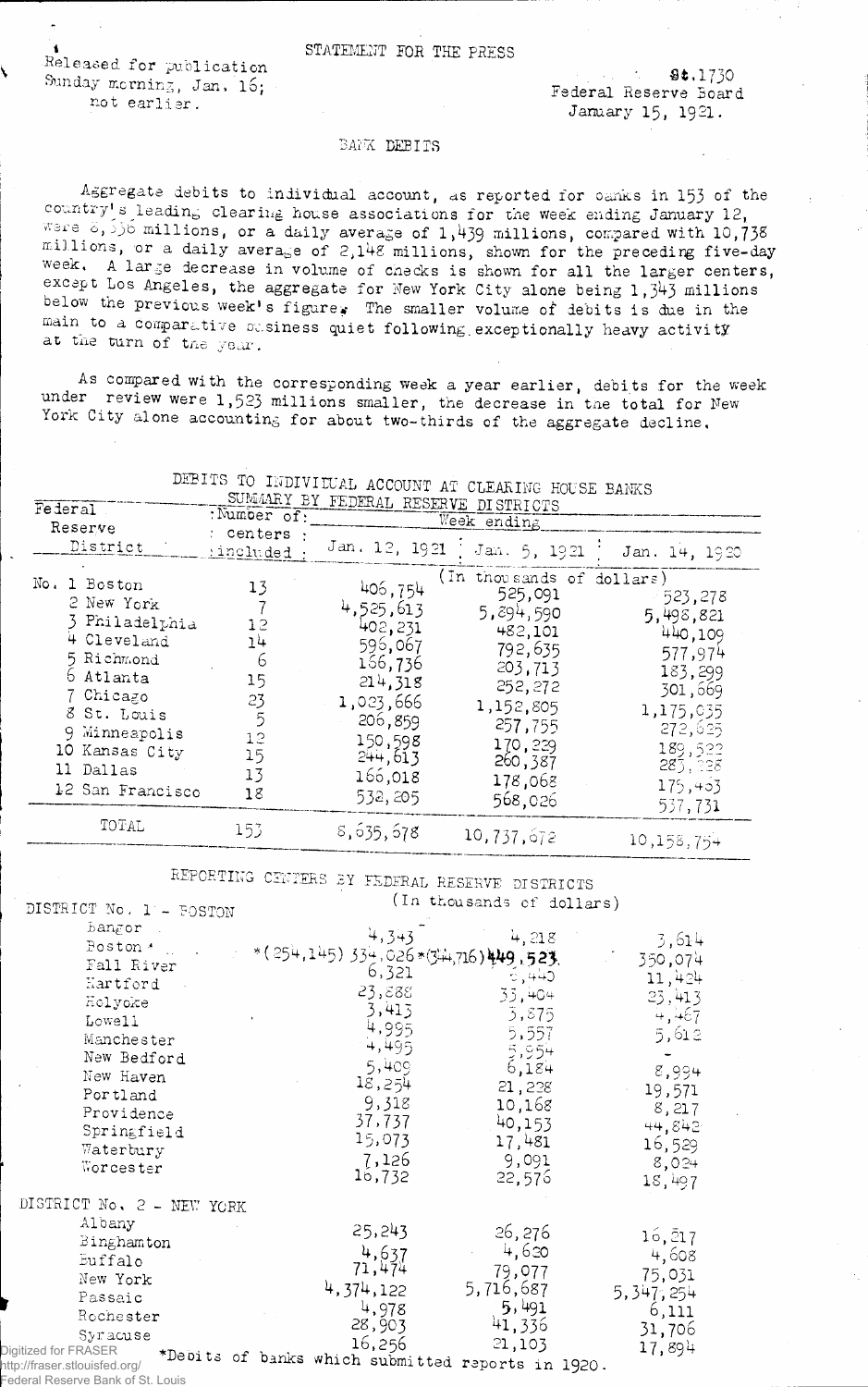Released for publication Sunday morning, Jan.  $16;$ not earlier.

. \* *M rl* 730 Federal Reserve Board January 15, 1921.

## BAMK DEBITS

Aggregate debits to individual account, as reported for oanks in 153 of the country's leading clearing house associations for the week ending January 12,  $y \in \{6, 3, 5\}$  millions, or a daily average of 1,439 millions, compared with 10,738 millions, or a daily average of 2,148 millions, shown for the preceding five-day week, A large decrease in volume of checks is shown for all the larger centers, except Los Angeles, the aggregate for New York City alone being  $1,3^{4}3$  millions below the previous week's figure. The smaller volume of debits is due in the main to a comparative easiness quiet following exceptionally heavy activity at the turn of the year.

As compared with the corresponding week a year earlier, debits for the week under review were 1,523 millions smaller, the decrease in the total for New York City alone accounting for about two-thirds of the aggregate decline.

| Federal<br>Reserve<br>District                                                                                                                                                            | :Number of:<br>centers :<br><i>included</i> :                | SUMMARY BY FEDERAL RESERVE DISTRICTS<br>Jan. 12, 1921                                                                                 | A DEMALLIA LIACOLI DHIALD<br>Week ending<br>Jan. 5, 1921                                                                                                          | Jan. 14, 1920                                                                                                                        |
|-------------------------------------------------------------------------------------------------------------------------------------------------------------------------------------------|--------------------------------------------------------------|---------------------------------------------------------------------------------------------------------------------------------------|-------------------------------------------------------------------------------------------------------------------------------------------------------------------|--------------------------------------------------------------------------------------------------------------------------------------|
| No.<br>1 Boston<br>2 New York<br>3 Philadelphia<br>4 Cleveland<br>5 Richmond<br>6 Atlanta<br>7 Chicago<br>8 St. Louis<br>9 Minneapolis<br>10 Kansas City<br>11 Dallas<br>12 San Francisco | 13<br>12<br>14<br>6<br>15<br>23<br>5<br>12<br>15<br>13<br>18 | 406,754<br>4,525,613<br>402,231<br>596,067<br>166,736<br>214,318<br>1,023,666<br>206,859<br>150,598<br>244,613<br>166,018<br>532, 205 | (In thousands of dollars)<br>525,091<br>5,894,590<br>482,101<br>792,635<br>203,713<br>252,272<br>1,152,805<br>257,755<br>170,229<br>260,387<br>178,068<br>568,026 | 523,278<br>5,498,821<br>440,109<br>577,974<br>183,299<br>301,669<br>1,175,035<br>272,625<br>189,522<br>283,338<br>175,403<br>537,731 |
| TOTAL                                                                                                                                                                                     | 153                                                          | 8,635,678                                                                                                                             | 10,737,672                                                                                                                                                        | 10,158,754                                                                                                                           |

## DEBITS TO INDIVIDUAL ACCOUNT AT CLEARING HOUSE BANKS

REPORTING CENTERS *IX* FEDERAL RESERVE DISTRICTS DISTRICT No. 1 - POSTON (In thousands of dollars

| Bangor                        |                                                   |           |                 |
|-------------------------------|---------------------------------------------------|-----------|-----------------|
| Poston <sup>*</sup>           | 4,343                                             | 4,218     | 3,614           |
| Fall River                    | *(254,145) 334,026*(34,716) 449,523.<br>6,321     |           | 350,074         |
| Kartford                      |                                                   | े, 440    | 11,424          |
| Holyoke                       | 23,888                                            | 33,404    | 23,413          |
| Lowell                        | 3,413                                             | 3,875     | 4,467           |
| Manchester                    | 4,995                                             | 5,557     | 5,612           |
| New Bedford                   | 4,495                                             | 5,954     |                 |
| New Haven                     | 5,409                                             | 6,184     | 8,994           |
| Portland                      | 18,254                                            | 21,228    | 19,571          |
| Providence                    | 9,318                                             | 10,168    | 8,217           |
| Springfield                   | 37,737                                            | 40,153    | 44,842          |
| Waterbury                     | 15,073                                            | 17,481    | 16,529          |
| Worcester                     | 7,126                                             | 9,091     | 8,024           |
|                               | 16,732                                            | 22,576    | 18,497          |
| DISTRICT No. 2 - NEW YORK     |                                                   |           |                 |
| Albany                        |                                                   |           |                 |
| Binghamton                    | 25,243                                            | 26,276    | $16, \bar{2}17$ |
| Euffalo                       | 4,637                                             | 4,620     | 4,608           |
| New York                      | 71,474                                            | 79,077    | 75,031          |
| Passaic                       | 4,374,122                                         | 5,716,687 | 5, 347, 254     |
| Rochester                     | 4,978                                             | 5,491     | 6,111           |
| Syracuse                      | 28,903                                            | 41,336    | 31,706          |
| Digitized for FRASER          | 16,256                                            | 21,103    | 17,894          |
| http://fraser.stlouisfed.org/ | *Debits of banks which submitted reports in 1920. |           |                 |

Federal Reserve Bank of St. Louis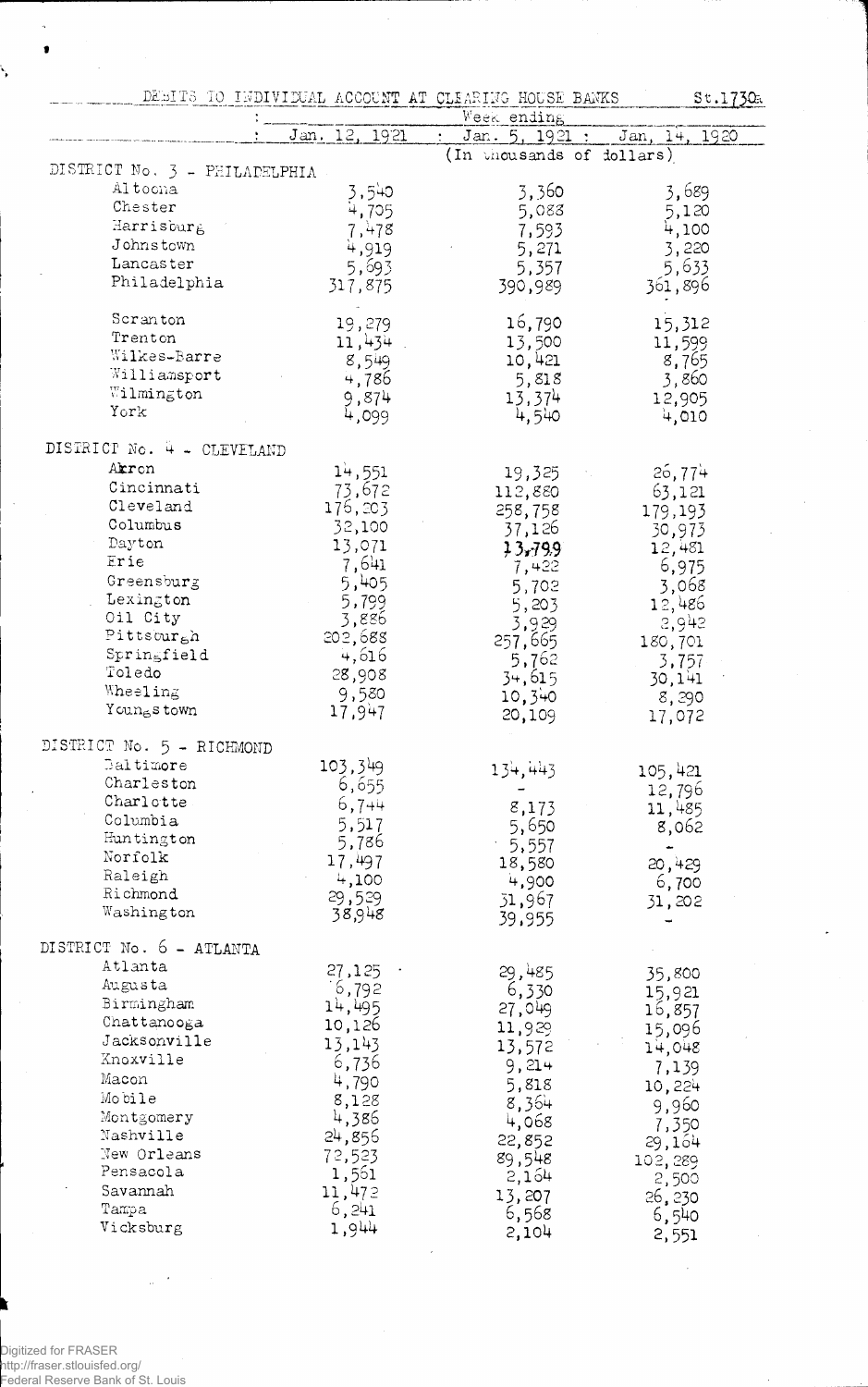|                               |               | DESITS TO INDIVIDUAL ACCOUNT AT CLEARING HOUSE BANKS<br>Week ending | 5t.1730          |
|-------------------------------|---------------|---------------------------------------------------------------------|------------------|
|                               | Jan. 12, 1921 | Jan. 5, 1921 :                                                      | Jan, 14, 1920    |
|                               |               | (In thousands of dollars)                                           |                  |
| DISTRICT No. 3 - PHILADELPHIA |               |                                                                     |                  |
| Al toona                      | 3,540         | 3,360                                                               | 3,689            |
| Chester                       | 4,705         | 5,088                                                               | 5,120            |
| Harrisburg                    | 7,478         | 7,593                                                               | 4,100            |
| Johnstown                     | 4,919         | 5,271                                                               | 3,220            |
| Lancaster                     | 5,693         | 5,357                                                               | 5,633            |
| Philadelphia                  | 317,875       | 390,989                                                             | 361,896          |
| Scranton                      | 19,279        | 16,790                                                              | 15,312           |
| Trenton                       | 11,434        | 13,500                                                              | 11,599           |
| Wilkes-Barre                  | 8,549         | 10,421                                                              | 8,765            |
| Williamsport                  | 4,786         | 5,818                                                               | 3,860            |
| Wilmington                    | 9,874         | 13,374                                                              | 12,905           |
| York                          | 4,099         | 4,540                                                               | 4,010            |
| DISTRICT No. 4 - CLEVELAND    |               |                                                                     |                  |
| Akron                         | 14,551        | 19,325                                                              | 26,774           |
| Cincinnati                    | 73,672        | 112,880                                                             | 63,121           |
| Cleveland                     | 176,203       | 258,758                                                             | 179,193          |
| Columbus                      | 32,100        | 37,126                                                              | 30,973           |
| Dayton                        | 13,071        | 13,799                                                              | 12,481           |
| Erie                          | 7,641         | 7,422                                                               | 6,975            |
| Greensburg                    | 5,405         | 5,702                                                               | 3,068            |
| Lexington                     | 5,799         | 5,203                                                               | 12,486           |
| Oil City                      | 3,886         | 3,929                                                               | 2,942            |
| Pittsburgh                    | 202,688       | 257,665                                                             | 180,701          |
| Springfield                   | 4,616         | 5,762                                                               |                  |
| Toledo                        | 28,908        | 34,615                                                              | 3,757<br>30,141  |
| Wheeling                      | 9,580         | 10,340                                                              | 8,290            |
| Youngs town                   | 17,947        | 20,109                                                              | 17,072           |
| DISTRICT No. 5 - RICHMOND     |               |                                                                     |                  |
| Baltimore                     | 103,349       | 134,443                                                             | 105,421          |
| Charleston                    | 6,655         |                                                                     |                  |
| Charlotte                     | $6,7 + 4$     | 8,173                                                               | 12,796<br>11,485 |
| Columbia                      | 5,517         | 5,650                                                               | 8,062            |
| Huntington                    | 5,786         | $-5,557$                                                            |                  |
| Norfolk                       | 17,497        | 18,580                                                              | 20,429           |
| Raleigh                       | 4,100         | 4,900                                                               | 6,700            |
| Richmond                      | 29,529        | 51,967                                                              | 31,202           |
| Washington                    | 38,948        | 39,955                                                              |                  |
| DISTRICT No. 6 - ATLANTA      |               |                                                                     |                  |
| Atlanta                       | 27,125        | 29,485                                                              | 35,800           |
| Augusta                       | 6,792         | 6,330                                                               | 15,921           |
| Birmingham                    | 14,495        | 27,049                                                              | 16,857           |
| Chattanooga                   | 10,126        | 11,929                                                              | 15,096           |
| Jacksonville                  | 13,143        | 13,572                                                              |                  |
| Xnoxville                     | 6,736         | 9,214                                                               | 14,048           |
| Macon                         | 4,790         | 5,818                                                               | 7,139            |
| Mobile                        | 8,128         |                                                                     | 10,224           |
| Montgomery                    | 4,386         | 8,364                                                               | 9,960            |
| Nashville                     | 24,856        | 4,068                                                               | 7,350            |
| New Orleans                   | 72,523        | 22,852                                                              | 29,164           |
| Pensacola                     | 1,561         | 89,548<br>2,164                                                     | 102,289          |
| Savannah                      | 11,472        |                                                                     | 2,500            |
| Tampa                         | 6,241         | 13,207<br>6,568                                                     | 26,230           |
| Vicksburg                     | 1,944         | 2,104                                                               | 6,540            |
|                               |               |                                                                     | 2,551            |

Digitized for FRASER

http://fraser.stlouisfed.org/ Federal Reserve Bank of St. Louis

Ä,  $\pmb{\mathsf{s}}$ 

L.

 $\hat{\boldsymbol{\gamma}}$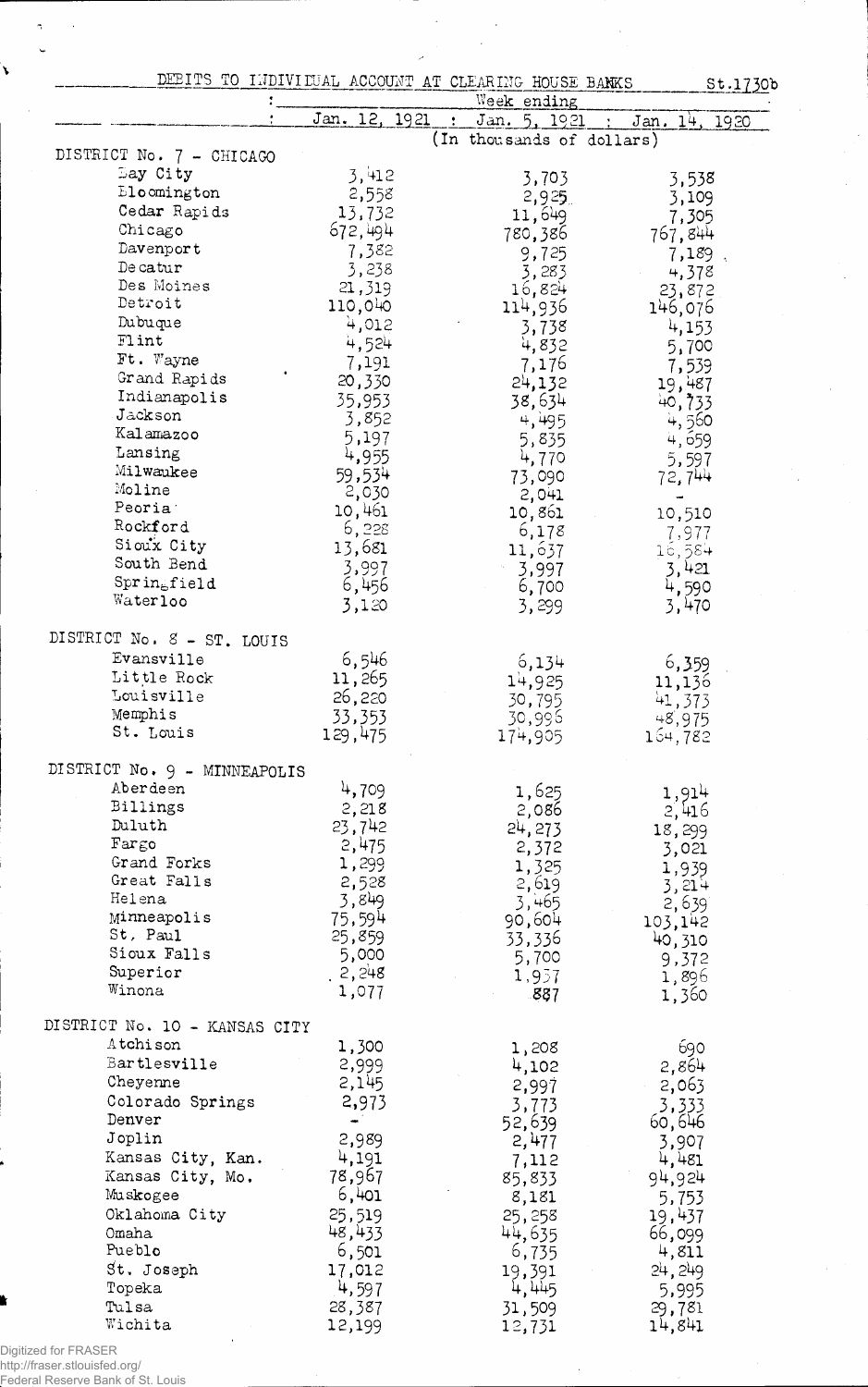|                               | DEBITS TO INDIVIDUAL ACCOUNT AT CLEARING HOUSE BANKS<br>St.1730b |                                           |                  |  |
|-------------------------------|------------------------------------------------------------------|-------------------------------------------|------------------|--|
|                               |                                                                  | Week ending                               |                  |  |
|                               | Jan. 12, 1921                                                    | Jan. 5, 1921<br>(In thousands of dollars) | Jan.<br>14, 1920 |  |
| DISTRICT No. 7 - CHICAGO      |                                                                  |                                           |                  |  |
| Bay City                      | 3,412                                                            | 3,703                                     | 3,538            |  |
| <b>Eloomington</b>            | 2,558                                                            | 2,925                                     | 3,109            |  |
| Cedar Rapids                  | 13,732                                                           | 11,649                                    | 7,305            |  |
| Chicago                       | 672,494                                                          | 780,386                                   | 767,844          |  |
| Davenport                     | 7,382                                                            | 9,725                                     | 7,189            |  |
| De catur                      | 3,238                                                            | 3,283                                     | 4,378            |  |
| Des Moines                    | 21,319                                                           | 16,824                                    | 23,872           |  |
| Detroit                       | 110,040                                                          | 114,936                                   | 146,076          |  |
| Dubuque                       | 4,012                                                            | 3,738                                     | 4,153            |  |
| Flint                         | 4,524                                                            | 4,832                                     | 5,700            |  |
| Ft. Wayne                     | 7,191                                                            | 7,176                                     | 7,539            |  |
| Grand Rapids                  | 20,330                                                           | 24,132                                    | 19,487           |  |
| Indianapolis<br>Jackson       | 35,953                                                           | 38,634                                    | 40,733           |  |
| Kalamazoo                     | 3,852                                                            | 4,495                                     | 4,560            |  |
| Lansing                       | 5,197                                                            | 5,835                                     | 4,659            |  |
| Milwaukee                     | 4,955                                                            | 4,770                                     | 5,597            |  |
| Moline                        | 59,534                                                           | 73,090                                    | 72,744           |  |
| Peoria                        | 2,030<br>10,461                                                  | 2,041                                     |                  |  |
| Rockford                      | 6,228                                                            | 10,861                                    | 10,510           |  |
| Sioux City                    | 13,681                                                           | 6,178                                     | 7,977            |  |
| South Bend                    | 3,997                                                            | 11,637<br>3,997                           | 16,584<br>3,421  |  |
| $Sprin_{e}field$              | 6,456                                                            | 6,700                                     | 4,590            |  |
| Waterloo                      | 3,120                                                            | 3, 299                                    | 3,470            |  |
|                               |                                                                  |                                           |                  |  |
| DISTRICT No. 8 - ST. LOUIS    |                                                                  |                                           |                  |  |
| Evansville                    | 6,546                                                            | 6,134                                     | 6,359            |  |
| Little Rock                   | 11,265                                                           | 14,925                                    | 11,136           |  |
| Louisville                    | 26,220                                                           | 30,795                                    | 41,373           |  |
| Memphis                       | 33,353                                                           | 30,996                                    | 48,975           |  |
| St. Louis                     | 129,475                                                          | 174,905                                   | 164,782          |  |
| DISTRICT No. 9 - MINNEAPOLIS  |                                                                  |                                           |                  |  |
| Aberdeen                      | 4,709                                                            |                                           |                  |  |
| Billings                      | 2,218                                                            | 1,625                                     | 1,914            |  |
| Duluth                        | 23,742                                                           | 2,086<br>24, 273                          | 2,416            |  |
| Farec                         | 2,475                                                            | 2,372                                     | 18,299           |  |
| Grand Forks                   | 1,299                                                            | 1,325                                     | 3,021            |  |
| Great Falls                   | 2,528                                                            | 2,619                                     | 1,939<br>$3,21+$ |  |
| Helena                        | 3,849                                                            | 3,465                                     | 2,639            |  |
| Minneapolis                   | 75,594                                                           | 90,604                                    | 103,142          |  |
| St, Paul                      | 25,859                                                           | 33,336                                    | 40,310           |  |
| Sioux Falls                   | 5,000                                                            | 5,700                                     | 9,372            |  |
| Superior                      | 2,248                                                            | 1,937                                     | 1,896            |  |
| Winona                        | 1,077                                                            | 887                                       | 1,360            |  |
| DISTRICT No. 10 - KANSAS CITY |                                                                  |                                           |                  |  |
| Atchison                      |                                                                  |                                           |                  |  |
| Bartlesville                  | 1,300<br>2,999                                                   | 1,208                                     | 690              |  |
| Cheyenne                      | 2,145                                                            | 4,102                                     | 2,864            |  |
| Colorado Springs              | 2,973                                                            | 2,997                                     | 2,063            |  |
| Denver                        |                                                                  | 3,773<br>52,639                           | 3,333            |  |
| Joplin                        | 2,989                                                            | 2,477                                     | 60,646<br>3,907  |  |
| Kansas City, Kan.             | 4,191                                                            | 7,112                                     | 4,481            |  |
| Kansas City, Mo.              | 78,967                                                           | 85,833                                    | 94,924           |  |
| Muskogee                      | 6,401                                                            | 8,181                                     | 5,753            |  |
| Oklahoma City                 | 25,519                                                           | 25, 258                                   | 19,437           |  |
| Omaha                         | 48,433                                                           | 44,635                                    | 66,099           |  |
| Pueblo                        | 6,501                                                            | 6,735                                     | 4,811            |  |
| St. Joseph                    | 17,012                                                           | 19,391                                    | 24, 249          |  |
| Topeka                        | 4,597                                                            | 4,445                                     | 5,995            |  |
| Tulsa                         | 28,387                                                           | 31,509                                    | 29,781           |  |
| Wichita                       | 12,199                                                           | 12,731                                    | 14,841           |  |

 $\ddot{\phantom{0}}$ 

 $\ddot{\phantom{a}}$ 

i,

Digitized for FRASER http://fraser.stlouisfed.org/ Federal Reserve Bank of St. Louis

 $\tilde{\mathcal{A}}$ 

 $\mathbf{r}$ 

 $\bar{z}$